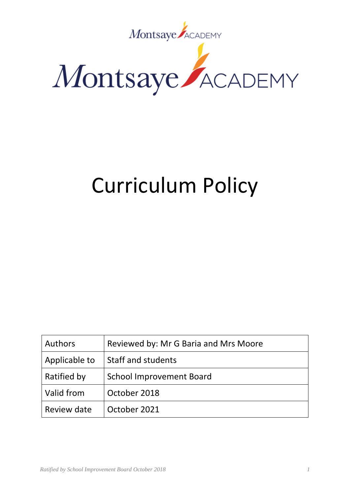

# Curriculum Policy

| <b>Authors</b> | Reviewed by: Mr G Baria and Mrs Moore |
|----------------|---------------------------------------|
| Applicable to  | Staff and students                    |
| Ratified by    | <b>School Improvement Board</b>       |
| Valid from     | October 2018                          |
| Review date    | October 2021                          |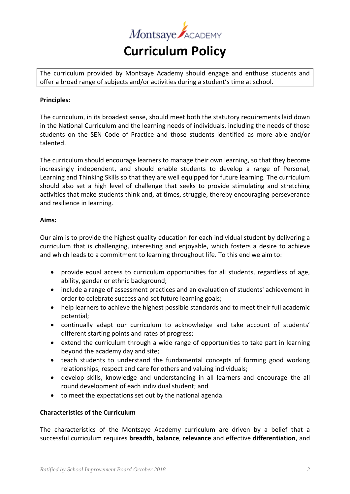

The curriculum provided by Montsaye Academy should engage and enthuse students and offer a broad range of subjects and/or activities during a student's time at school.

## **Principles:**

The curriculum, in its broadest sense, should meet both the statutory requirements laid down in the National Curriculum and the learning needs of individuals, including the needs of those students on the SEN Code of Practice and those students identified as more able and/or talented.

The curriculum should encourage learners to manage their own learning, so that they become increasingly independent, and should enable students to develop a range of Personal, Learning and Thinking Skills so that they are well equipped for future learning. The curriculum should also set a high level of challenge that seeks to provide stimulating and stretching activities that make students think and, at times, struggle, thereby encouraging perseverance and resilience in learning.

#### **Aims:**

Our aim is to provide the highest quality education for each individual student by delivering a curriculum that is challenging, interesting and enjoyable, which fosters a desire to achieve and which leads to a commitment to learning throughout life. To this end we aim to:

- provide equal access to curriculum opportunities for all students, regardless of age, ability, gender or ethnic background;
- include a range of assessment practices and an evaluation of students' achievement in order to celebrate success and set future learning goals;
- help learners to achieve the highest possible standards and to meet their full academic potential;
- continually adapt our curriculum to acknowledge and take account of students' different starting points and rates of progress;
- extend the curriculum through a wide range of opportunities to take part in learning beyond the academy day and site;
- teach students to understand the fundamental concepts of forming good working relationships, respect and care for others and valuing individuals;
- develop skills, knowledge and understanding in all learners and encourage the all round development of each individual student; and
- to meet the expectations set out by the national agenda.

## **Characteristics of the Curriculum**

The characteristics of the Montsaye Academy curriculum are driven by a belief that a successful curriculum requires **breadth**, **balance**, **relevance** and effective **differentiation**, and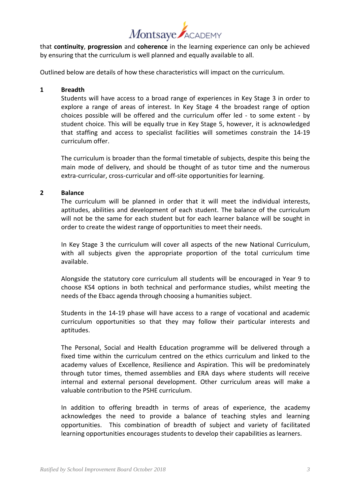

that **continuity**, **progression** and **coherence** in the learning experience can only be achieved by ensuring that the curriculum is well planned and equally available to all.

Outlined below are details of how these characteristics will impact on the curriculum.

## **1 Breadth**

Students will have access to a broad range of experiences in Key Stage 3 in order to explore a range of areas of interest. In Key Stage 4 the broadest range of option choices possible will be offered and the curriculum offer led - to some extent - by student choice. This will be equally true in Key Stage 5, however, it is acknowledged that staffing and access to specialist facilities will sometimes constrain the 14-19 curriculum offer.

The curriculum is broader than the formal timetable of subjects, despite this being the main mode of delivery, and should be thought of as tutor time and the numerous extra-curricular, cross-curricular and off-site opportunities for learning.

#### **2 Balance**

The curriculum will be planned in order that it will meet the individual interests, aptitudes, abilities and development of each student. The balance of the curriculum will not be the same for each student but for each learner balance will be sought in order to create the widest range of opportunities to meet their needs.

In Key Stage 3 the curriculum will cover all aspects of the new National Curriculum, with all subjects given the appropriate proportion of the total curriculum time available.

Alongside the statutory core curriculum all students will be encouraged in Year 9 to choose KS4 options in both technical and performance studies, whilst meeting the needs of the Ebacc agenda through choosing a humanities subject.

Students in the 14-19 phase will have access to a range of vocational and academic curriculum opportunities so that they may follow their particular interests and aptitudes.

The Personal, Social and Health Education programme will be delivered through a fixed time within the curriculum centred on the ethics curriculum and linked to the academy values of Excellence, Resilience and Aspiration. This will be predominately through tutor times, themed assemblies and ERA days where students will receive internal and external personal development. Other curriculum areas will make a valuable contribution to the PSHE curriculum.

In addition to offering breadth in terms of areas of experience, the academy acknowledges the need to provide a balance of teaching styles and learning opportunities. This combination of breadth of subject and variety of facilitated learning opportunities encourages students to develop their capabilities as learners.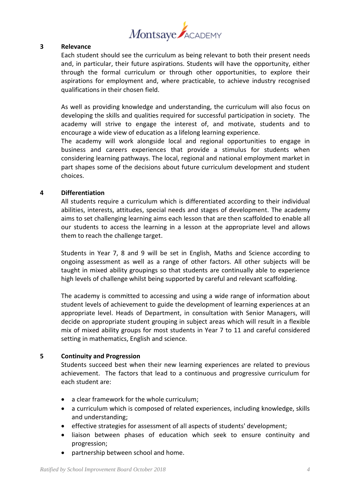

#### **3 Relevance**

Each student should see the curriculum as being relevant to both their present needs and, in particular, their future aspirations. Students will have the opportunity, either through the formal curriculum or through other opportunities, to explore their aspirations for employment and, where practicable, to achieve industry recognised qualifications in their chosen field.

As well as providing knowledge and understanding, the curriculum will also focus on developing the skills and qualities required for successful participation in society. The academy will strive to engage the interest of, and motivate, students and to encourage a wide view of education as a lifelong learning experience.

The academy will work alongside local and regional opportunities to engage in business and careers experiences that provide a stimulus for students when considering learning pathways. The local, regional and national employment market in part shapes some of the decisions about future curriculum development and student choices.

#### **4 Differentiation**

All students require a curriculum which is differentiated according to their individual abilities, interests, attitudes, special needs and stages of development. The academy aims to set challenging learning aims each lesson that are then scaffolded to enable all our students to access the learning in a lesson at the appropriate level and allows them to reach the challenge target.

Students in Year 7, 8 and 9 will be set in English, Maths and Science according to ongoing assessment as well as a range of other factors. All other subjects will be taught in mixed ability groupings so that students are continually able to experience high levels of challenge whilst being supported by careful and relevant scaffolding.

The academy is committed to accessing and using a wide range of information about student levels of achievement to guide the development of learning experiences at an appropriate level. Heads of Department, in consultation with Senior Managers, will decide on appropriate student grouping in subject areas which will result in a flexible mix of mixed ability groups for most students in Year 7 to 11 and careful considered setting in mathematics, English and science.

#### **5 Continuity and Progression**

Students succeed best when their new learning experiences are related to previous achievement. The factors that lead to a continuous and progressive curriculum for each student are:

- a clear framework for the whole curriculum:
- a curriculum which is composed of related experiences, including knowledge, skills and understanding;
- effective strategies for assessment of all aspects of students' development;
- liaison between phases of education which seek to ensure continuity and progression;
- partnership between school and home.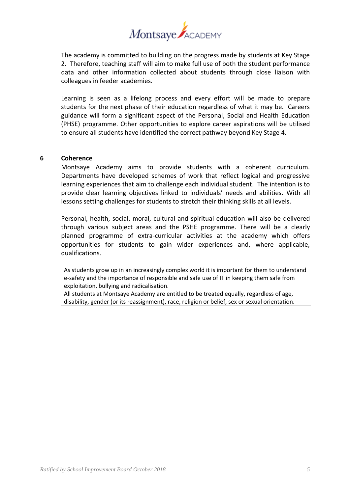

The academy is committed to building on the progress made by students at Key Stage 2. Therefore, teaching staff will aim to make full use of both the student performance data and other information collected about students through close liaison with colleagues in feeder academies.

Learning is seen as a lifelong process and every effort will be made to prepare students for the next phase of their education regardless of what it may be. Careers guidance will form a significant aspect of the Personal, Social and Health Education (PHSE) programme. Other opportunities to explore career aspirations will be utilised to ensure all students have identified the correct pathway beyond Key Stage 4.

#### **6 Coherence**

Montsaye Academy aims to provide students with a coherent curriculum. Departments have developed schemes of work that reflect logical and progressive learning experiences that aim to challenge each individual student. The intention is to provide clear learning objectives linked to individuals' needs and abilities. With all lessons setting challenges for students to stretch their thinking skills at all levels.

Personal, health, social, moral, cultural and spiritual education will also be delivered through various subject areas and the PSHE programme. There will be a clearly planned programme of extra-curricular activities at the academy which offers opportunities for students to gain wider experiences and, where applicable, qualifications.

As students grow up in an increasingly complex world it is important for them to understand e-safety and the importance of responsible and safe use of IT in keeping them safe from exploitation, bullying and radicalisation.

All students at Montsaye Academy are entitled to be treated equally, regardless of age, disability, gender (or its reassignment), race, religion or belief, sex or sexual orientation.